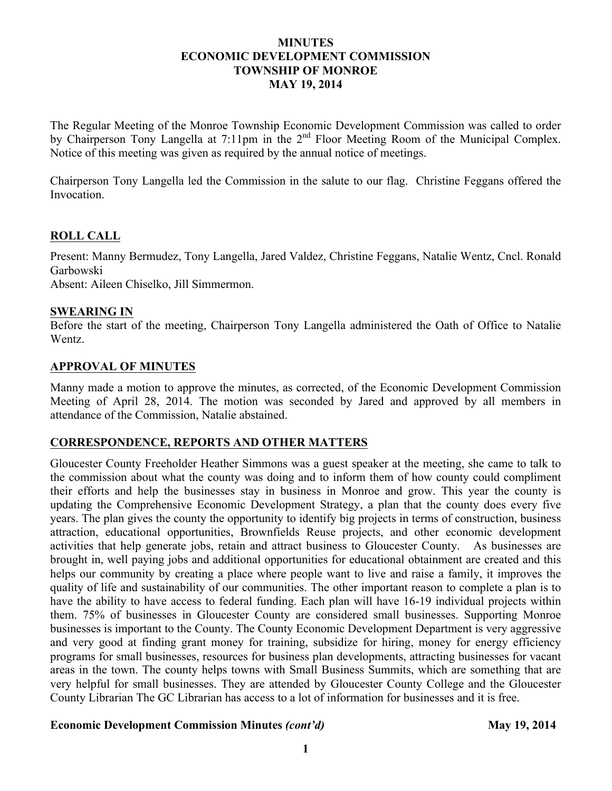## **MINUTES ECONOMIC DEVELOPMENT COMMISSION TOWNSHIP OF MONROE MAY 19, 2014**

The Regular Meeting of the Monroe Township Economic Development Commission was called to order by Chairperson Tony Langella at 7:11pm in the 2<sup>nd</sup> Floor Meeting Room of the Municipal Complex. Notice of this meeting was given as required by the annual notice of meetings.

Chairperson Tony Langella led the Commission in the salute to our flag. Christine Feggans offered the Invocation.

## **ROLL CALL**

Present: Manny Bermudez, Tony Langella, Jared Valdez, Christine Feggans, Natalie Wentz, Cncl. Ronald Garbowski

Absent: Aileen Chiselko, Jill Simmermon.

#### **SWEARING IN**

Before the start of the meeting, Chairperson Tony Langella administered the Oath of Office to Natalie Wentz.

## **APPROVAL OF MINUTES**

Manny made a motion to approve the minutes, as corrected, of the Economic Development Commission Meeting of April 28, 2014. The motion was seconded by Jared and approved by all members in attendance of the Commission, Natalie abstained.

# **CORRESPONDENCE, REPORTS AND OTHER MATTERS**

Gloucester County Freeholder Heather Simmons was a guest speaker at the meeting, she came to talk to the commission about what the county was doing and to inform them of how county could compliment their efforts and help the businesses stay in business in Monroe and grow. This year the county is updating the Comprehensive Economic Development Strategy, a plan that the county does every five years. The plan gives the county the opportunity to identify big projects in terms of construction, business attraction, educational opportunities, Brownfields Reuse projects, and other economic development activities that help generate jobs, retain and attract business to Gloucester County. As businesses are brought in, well paying jobs and additional opportunities for educational obtainment are created and this helps our community by creating a place where people want to live and raise a family, it improves the quality of life and sustainability of our communities. The other important reason to complete a plan is to have the ability to have access to federal funding. Each plan will have 16-19 individual projects within them. 75% of businesses in Gloucester County are considered small businesses. Supporting Monroe businesses is important to the County. The County Economic Development Department is very aggressive and very good at finding grant money for training, subsidize for hiring, money for energy efficiency programs for small businesses, resources for business plan developments, attracting businesses for vacant areas in the town. The county helps towns with Small Business Summits, which are something that are very helpful for small businesses. They are attended by Gloucester County College and the Gloucester County Librarian The GC Librarian has access to a lot of information for businesses and it is free.

#### Economic Development Commission Minutes *(cont'd)* May 19, 2014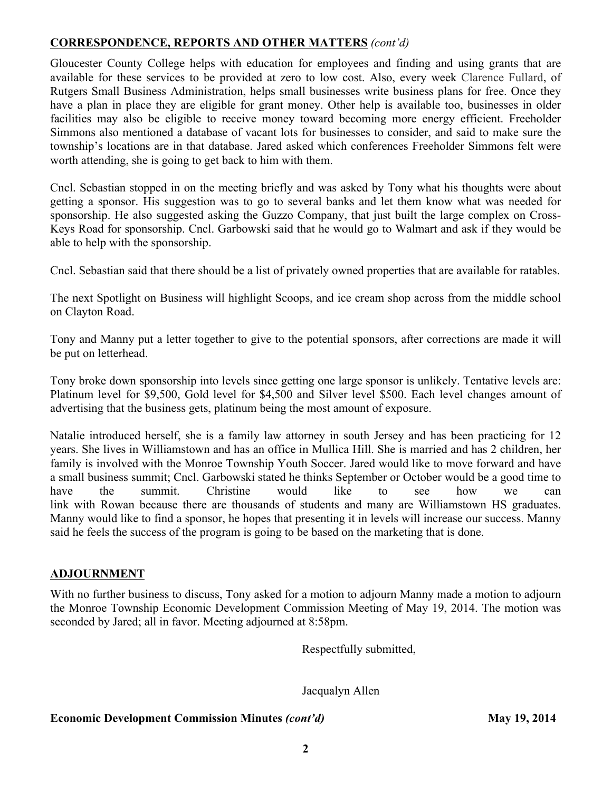# **CORRESPONDENCE, REPORTS AND OTHER MATTERS** *(cont'd)*

Gloucester County College helps with education for employees and finding and using grants that are available for these services to be provided at zero to low cost. Also, every week Clarence Fullard, of Rutgers Small Business Administration, helps small businesses write business plans for free. Once they have a plan in place they are eligible for grant money. Other help is available too, businesses in older facilities may also be eligible to receive money toward becoming more energy efficient. Freeholder Simmons also mentioned a database of vacant lots for businesses to consider, and said to make sure the township's locations are in that database. Jared asked which conferences Freeholder Simmons felt were worth attending, she is going to get back to him with them.

Cncl. Sebastian stopped in on the meeting briefly and was asked by Tony what his thoughts were about getting a sponsor. His suggestion was to go to several banks and let them know what was needed for sponsorship. He also suggested asking the Guzzo Company, that just built the large complex on Cross-Keys Road for sponsorship. Cncl. Garbowski said that he would go to Walmart and ask if they would be able to help with the sponsorship.

Cncl. Sebastian said that there should be a list of privately owned properties that are available for ratables.

The next Spotlight on Business will highlight Scoops, and ice cream shop across from the middle school on Clayton Road.

Tony and Manny put a letter together to give to the potential sponsors, after corrections are made it will be put on letterhead.

Tony broke down sponsorship into levels since getting one large sponsor is unlikely. Tentative levels are: Platinum level for \$9,500, Gold level for \$4,500 and Silver level \$500. Each level changes amount of advertising that the business gets, platinum being the most amount of exposure.

Natalie introduced herself, she is a family law attorney in south Jersey and has been practicing for 12 years. She lives in Williamstown and has an office in Mullica Hill. She is married and has 2 children, her family is involved with the Monroe Township Youth Soccer. Jared would like to move forward and have a small business summit; Cncl. Garbowski stated he thinks September or October would be a good time to have the summit. Christine would like to see how we can link with Rowan because there are thousands of students and many are Williamstown HS graduates. Manny would like to find a sponsor, he hopes that presenting it in levels will increase our success. Manny said he feels the success of the program is going to be based on the marketing that is done.

# **ADJOURNMENT**

With no further business to discuss, Tony asked for a motion to adjourn Manny made a motion to adjourn the Monroe Township Economic Development Commission Meeting of May 19, 2014. The motion was seconded by Jared; all in favor. Meeting adjourned at 8:58pm.

Respectfully submitted,

Jacqualyn Allen

#### **Economic Development Commission Minutes** *(cont'd)* **May 19, 2014**